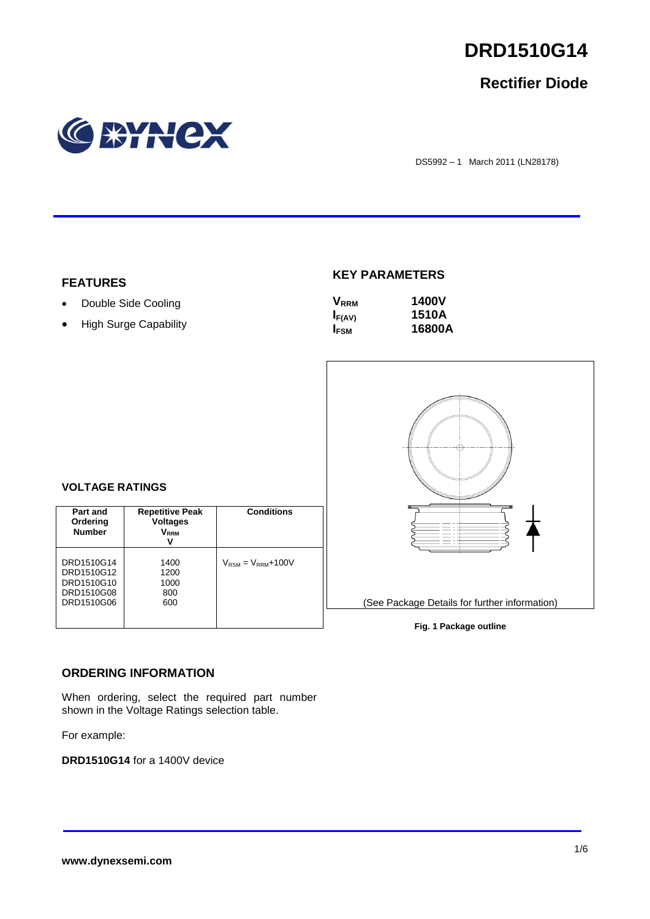# **DRD1510G14**

# **Rectifier Diode**



DS5992 – 1 March 2011 (LN28178)

#### **FEATURES**

• Double Side Cooling

**VOLTAGE RATINGS**

**Part and Ordering Number**

DRD1510G14 DRD1510G12 DRD1510G10 DRD1510G08 DRD1510G06

• High Surge Capability

## **KEY PARAMETERS**

| $\mathsf{V}_{\mathsf{RRM}}$ | <b>1400V</b> |
|-----------------------------|--------------|
| $I_{F(AV)}$                 | 1510A        |
| I <sub>FSM</sub>            | 16800A       |



# **Fig. 1 Package outline**

#### **ORDERING INFORMATION**

When ordering, select the required part number shown in the Voltage Ratings selection table.

**Repetitive Peak Voltages VRRM V**

**Conditions**

 $V_{\text{RSM}} = V_{\text{RRM}} + 100V$ 

For example:

**DRD1510G14** for a 1400V device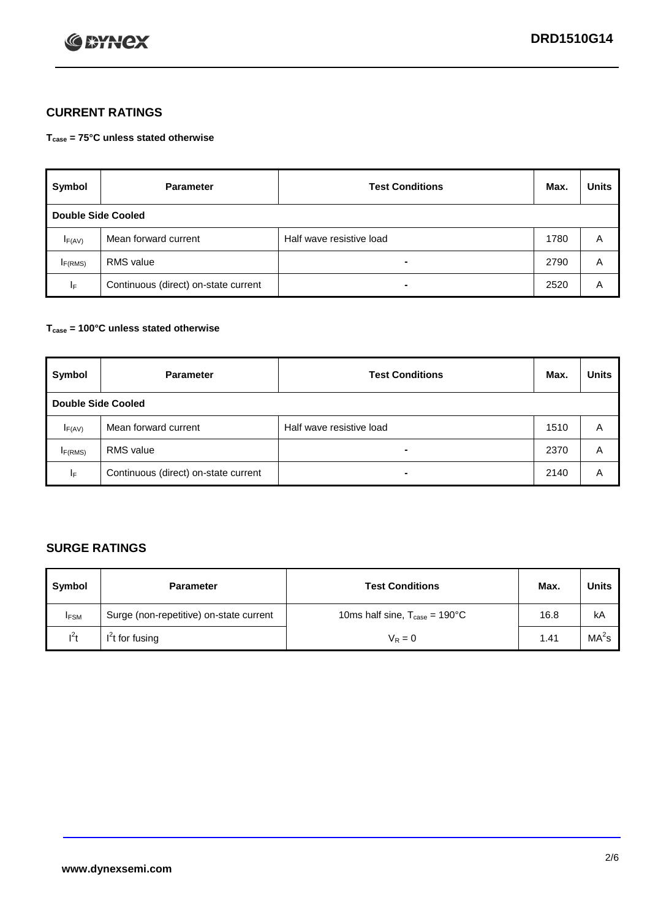

## **CURRENT RATINGS**

**Tcase = 75°C unless stated otherwise**

| Symbol              | <b>Parameter</b>                     | <b>Test Conditions</b>   | Max. | <b>Units</b> |  |  |
|---------------------|--------------------------------------|--------------------------|------|--------------|--|--|
|                     | <b>Double Side Cooled</b>            |                          |      |              |  |  |
| $I_{F(AV)}$         | Mean forward current                 | Half wave resistive load | 1780 | A            |  |  |
| I <sub>F(RMS)</sub> | <b>RMS</b> value                     | -                        | 2790 | A            |  |  |
| IF.                 | Continuous (direct) on-state current | -                        | 2520 | A            |  |  |

#### **Tcase = 100°C unless stated otherwise**

| Symbol                    | <b>Parameter</b>                     | <b>Test Conditions</b>   |      | <b>Units</b> |  |
|---------------------------|--------------------------------------|--------------------------|------|--------------|--|
| <b>Double Side Cooled</b> |                                      |                          |      |              |  |
| $I_{F(AV)}$               | Mean forward current                 | Half wave resistive load | 1510 | Α            |  |
| $I_{F(RMS)}$              | <b>RMS</b> value                     | $\overline{\phantom{0}}$ | 2370 | A            |  |
| IF                        | Continuous (direct) on-state current | ۰                        | 2140 | A            |  |

## **SURGE RATINGS**

| Symbol      | <b>Parameter</b>                        | <b>Test Conditions</b>                            | Max. | <b>Units</b> |
|-------------|-----------------------------------------|---------------------------------------------------|------|--------------|
| <b>IFSM</b> | Surge (non-repetitive) on-state current | 10ms half sine, $T_{\text{case}} = 190^{\circ}$ C | 16.8 | kA           |
| $I^2t$      | I't for fusing                          | $V_R = 0$                                         | 1.41 | $MA^2s$      |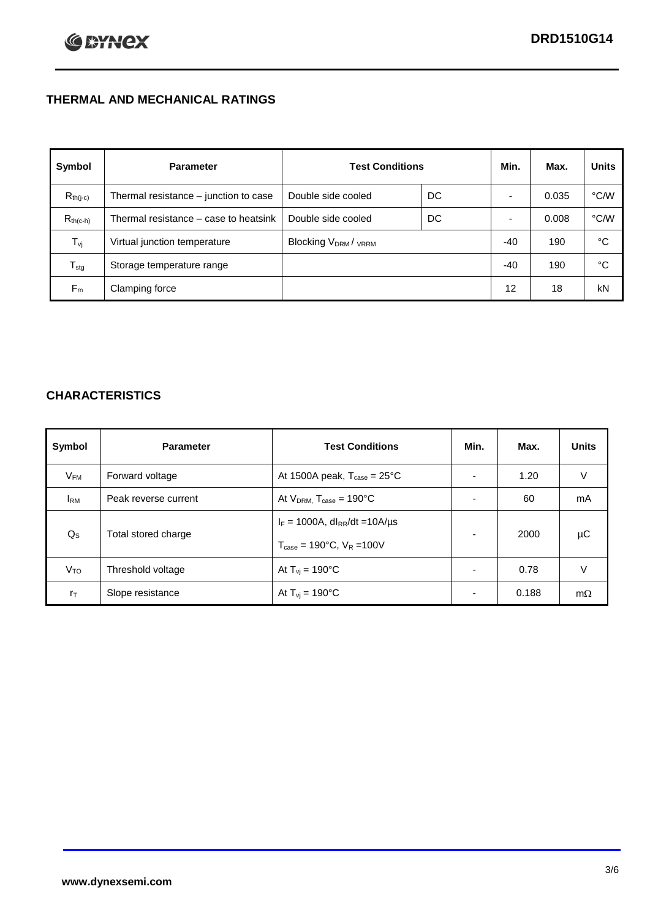# **THERMAL AND MECHANICAL RATINGS**

| Symbol           | <b>Parameter</b>                      | <b>Test Conditions</b>                      |    | Min.  | Max.  | <b>Units</b>  |
|------------------|---------------------------------------|---------------------------------------------|----|-------|-------|---------------|
| $R_{th(j-c)}$    | Thermal resistance - junction to case | Double side cooled                          | DC |       | 0.035 | °C/W          |
| $R_{th(c-h)}$    | Thermal resistance – case to heatsink | Double side cooled                          | DC |       | 0.008 | $\degree$ C/W |
| $T_{\rm vj}$     | Virtual junction temperature          | Blocking V <sub>DRM</sub> / <sub>VRRM</sub> |    | -40   | 190   | °C            |
| $T_{\text{stg}}$ | Storage temperature range             |                                             |    | $-40$ | 190   | °C            |
| $F_m$            | Clamping force                        |                                             |    | 12    | 18    | kN            |

## **CHARACTERISTICS**

| Symbol                   | <b>Parameter</b>     | <b>Test Conditions</b>                                                                           | Min.           | Max.  | <b>Units</b> |
|--------------------------|----------------------|--------------------------------------------------------------------------------------------------|----------------|-------|--------------|
| $\mathsf{V}_\mathsf{FM}$ | Forward voltage      | At 1500A peak, $T_{\text{case}} = 25^{\circ}C$                                                   |                | 1.20  | V            |
| <b>I</b> <sub>RM</sub>   | Peak reverse current | At $V_{DRM}$ , $T_{case} = 190^{\circ}C$                                                         | ۰              | 60    | mA           |
| $Q_{\rm S}$              | Total stored charge  | $I_F = 1000A$ , dl <sub>RR</sub> /dt = 10A/us<br>$T_{\text{case}} = 190^{\circ}$ C. $V_R = 100V$ | $\blacksquare$ | 2000  | μC           |
| V <sub>TO</sub>          | Threshold voltage    | At $T_{vi} = 190^{\circ}$ C                                                                      | $\blacksquare$ | 0.78  | V            |
| $r_{\text{T}}$           | Slope resistance     | At $T_{vi} = 190^{\circ}$ C                                                                      | ۰              | 0.188 | $m\Omega$    |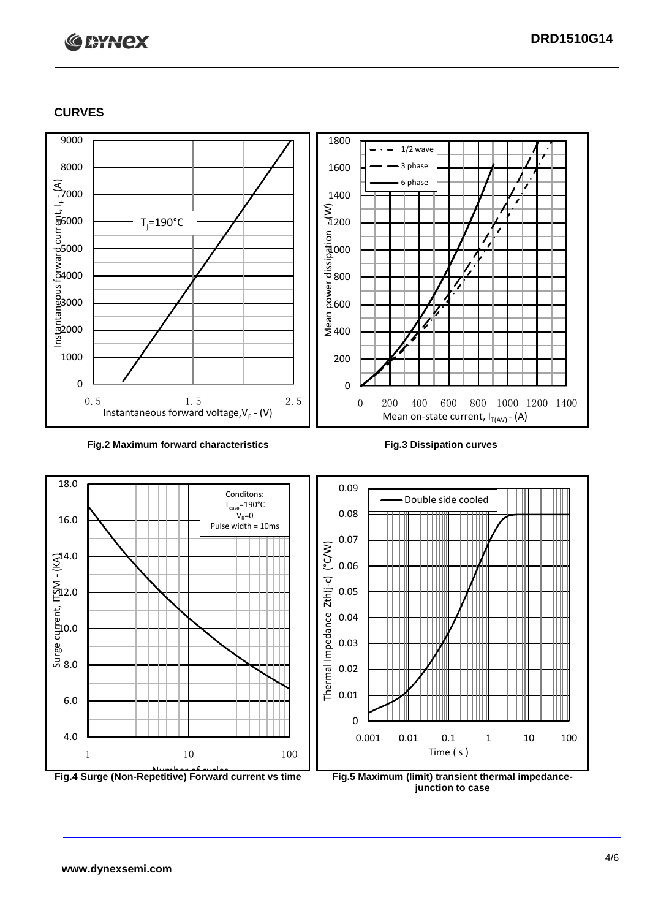# **C BYNCX**

## **CURVES**



#### **Fig.2 Maximum forward characteristics Fig.3 Dissipation curves**





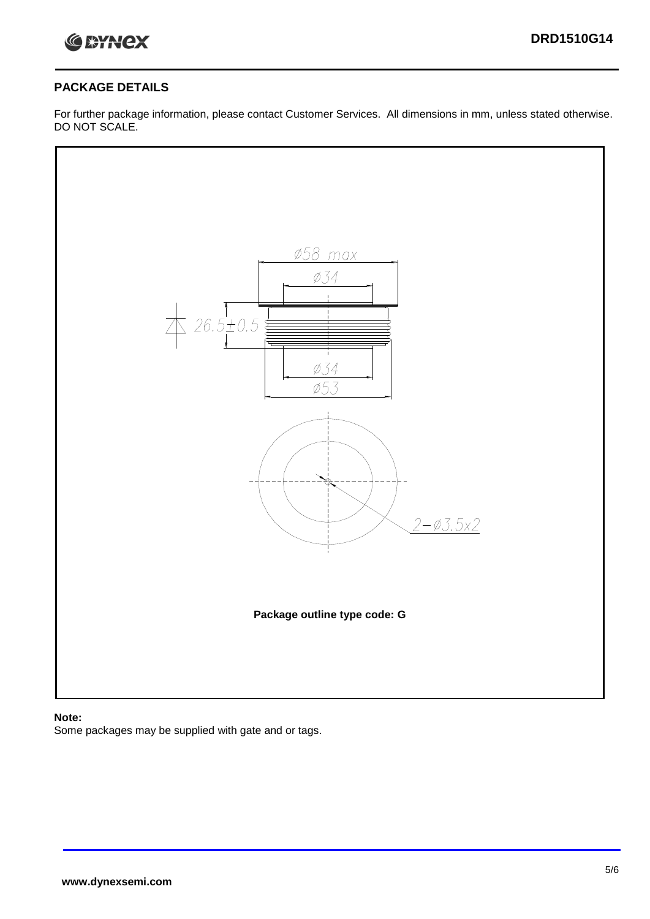

#### **PACKAGE DETAILS**

For further package information, please contact Customer Services. All dimensions in mm, unless stated otherwise. DO NOT SCALE.



#### **Note:**

Some packages may be supplied with gate and or tags.